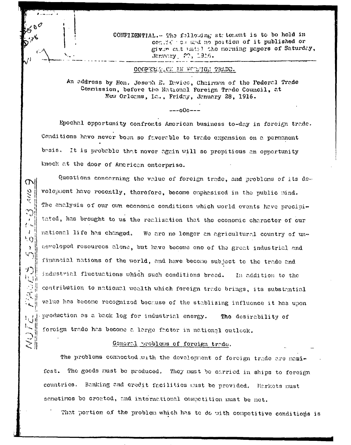CONFIDENTIAL.- The following statement is to be held in confidence and no portion of it published or given cat until the morning papers of Saturday, January 20, 1916.

COOPERARICK IN FORMIGN TRADE.

An address by Hon. Joseph E. Davies, Chairman of the Federal Trade Commission, before the National Foreign Trade Council, at New Orleans, Ic., Friday, January 28, 1916.

 $---000---$ 

Epochal opportunity confronts American business to-day in foreign trade. Conditions have never been so favorable to trade expansion on a permanent besis. It is probable that never again will so propitious an opportunity knock at the door of American enterprise.

 $\mathcal{D}$ 

**GWV** 

 $\Gamma$   $\infty$  $\mathbf{I}$ 

 $^6$ Q

 $\mathcal{V}$  $\mathbf{v}$ 

 $\mathcal{L}_{\mathcal{A}}$ 

 $\leq$ 

Questions concerning the value of foreign trade, and problems of its devolopment have recently, therefore, become emphasized in the public mind. The analysis of our own economic conditions which world events have precipitated, has brought to us the realization that the economic character of our national life has changed. We are no longer an agricultural country of undeveloped resources alone, but have become one of the great industrial and financial nations of the world, and have become subject to the trade and industrial fluctuations which such conditions breed. In addition to the contribution to national wealth which foreign trade brings, its substantial value has become recognized because of the stablizing influence it has upon production as a back log for industrial energy. The desirability of foreign trade has become a large factor in national outlook.

## General problems of foreign trade.

The problems connected with the development of foreign trade are manifest. The goods must be produced. They must be carried in ships to foreign countries. Banking and credit facilities must be provided. Markets must semetimos be created, and interactional competition must be met.

That portion of the problem which has to do with competitive conditions is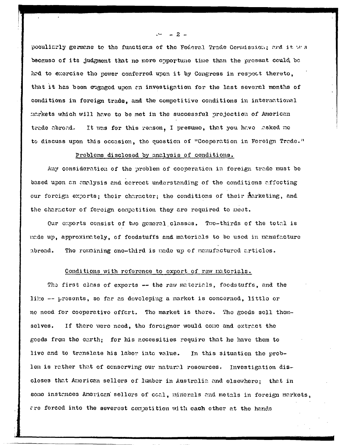poculiarly germane to the functions of the Federal Trade Cormission; and it ws because of its judgment that no more opportune time than the present could be had to exercise the power conforred upon it by Congress in respect thereto, that it has been engaged upon an investigation for the last several months of conditions in foreign trade, and the competitive conditions in international markets which will have to be met in the successful projection of American It was for this reason, I presume, that you have asked me trade abroad. to discuss upon this occasion, the question of "Cooperation in Foreign Trade."

## Problems disclosed by analysis of conditions.

Any consideration of the problem of cooperation in foreign trade must be based upon an analysis and correct understanding of the conditions affecting our forcign exports; their character; the conditions of their marketing, and the character of foreign competition they are required to meet.

Our exports consist of two general classes. Two-thirds of the total is made up, approximately, of foodstuffs and materials to be used in manufacture abroad. The remaining one-third is made up of manufactured articles.

#### Conditions with reference to export of raw materials.

The first class of exports -- the raw materials, foodstuffs, and the like -- presents, so far as developing a market is concerned, little or no need for cooperative effert. The market is there. The goods sell them-If there were need, the foreigner would come and extract the selves. goods from the earth; for his necessities require that he have them to live and to translate his labor into value. In this situation the problem is rather that of conserving our natural resources. Investigation discloses that American sellers of lumber in Australia and elsewhere; that in some instances American sellers of coal, minerals and metals in foreign markets, are forced into the severest competition with each other at the hands

- 2 -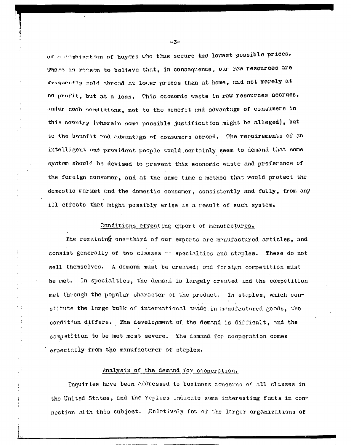of a combination of buyers who thus secure the lowest possible prices. There is reason to believe that, in consequence, our raw resources are frequently nold abroad at lower prices than at home, and not merely at no profit, but at a loss. This oconomic waste in raw resources accrues, under such conditions, not to the benefit and advantage of consumers in this country (wherein somo possible justification might be alleged), but to the bounfit and advantage of consumers abroad. The requirements of an intelligent and provident people would certainly seem to demand that some system should be devised to prevent this economic waste and preference of the foreign consumer, and at the same time a method that would protect the domestic market and the domestic consumer, consistently and fully*y* from any ill effects that might possibly arise as a result of such system.

#### Conditions affecting export of manufactures.

The remaining one-third of our exports are manufactured articles, and consist generally of two classes -- specialties and staples. These do not sell themselves. A demand must be created; and foreign competition must be met. In specialties, the demand is largely created and the competition met through the popular character of the product. In staples, which constitute the large bulk of international trade in manufactured goods, the condition differs. The development of. the demand is difficult, and the competition to be met most severe. The demand for cooperation comes especially from the manufacturer of staples.

# Analysis of the demand for cooperation.

Inquiries have been addressed to business concerns of all classes in the United States, and the replies indicate some interesting facts in connection with this subject. Relatively few of the larger organizations of

 $-3-$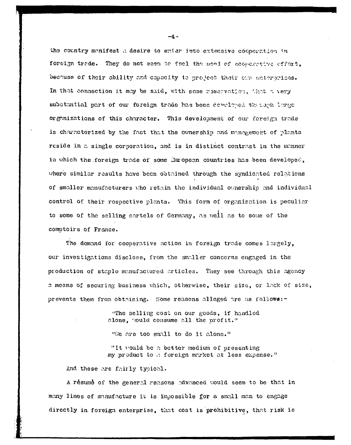the country manifest a desire to enter into extensive cooperation in forcign trade. They do not seen to foel the *nami of commercitie effort*, because of their ability and capacity to project thoir our enterorices. In that connection it may be said, with pane reservation, that a *very* substantial part of our foreign trade has been covelred, the cach Ivres organizations of this character. This development of our foreign trade is characterized by the fact that the ownership and management of plants reside in a single corporation, and is in distinct contrast in the manner in which the foreign trade of some European countries has been developed, where similar results have been obtained through the syndicated relations of smaller manufacturers v:ho retain the individual ownership and individual control of their respective plants. This form of organization is peculiar to some of the selling cartels of Germany, as well as to some of the comptoirs of France.

The demand for cooperative action in foreign trade comes largely, our investigations disclose, from the smaller concerns engaged in the production of staple manufactured articles. They see through this agency a means of securing business which, otherwise, their size, or lack of size, prevents them from obtaining. Some reasons alleged are as follows:-

> •'The selling cost on our goods, if handled alone, would consume all the profit."

"V/c are too small to do it alone."

"It would be a better medium of presenting my product to a foreign market at less expense."

And these are fairly typical.

A resume of the general reasons advanced would seem to be that in many lines of manufacture it is impossible for a small man to engage directly in foreign enterprise, that coot is prohibitive, that risk is

 $-4 -$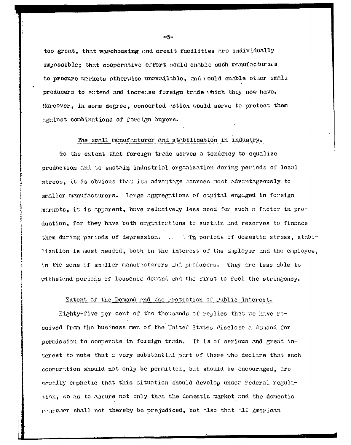too great, that warehousing and oredit facilities are individually impossible; that cooperative effort would enable such manufacturers to procure markets otherwise unavailable, and would enable other small producers to extend and increase foreign trade which they now have. Moreover, in some degree, concerted action would serve to protect them against combinations of foreign buyers.

#### The small manufacturer and stabilization in industry.

To the extent that foreign trade serves a tendency to equalize production and to sustain industrial organization during periods of local stress, it is obvious that its advantage accrues most advantageously to smaller manufacturers. Large aggregations of capital engaged in foreign markots, it is apparent, have relatively less need for such a factor in production, for they have both organizations to sustain and reserves to finance them during periods of depression. . . . The periods of domestic stress, stabilization is most needed, both in the interest of the employer and the employee. in the zone of smaller manufacturers and producers. They are less able to withstand periods of lossened demand and the first to feel the stringency.

#### Extent of the Demand and the Protection of Public Interest.

Eighty-five per cent of the thousands of replies that we have recoived from the business nen of the United States disclose a denand for permission to cooperate in foreign trade. It is of serious and great interest to note that a very substantial part of these who declare that such coonertion should not only be permitted, but should be encouraged, are counlly emphatic that this situation should develop under Federal regulation. so as to assure not only that the domestic market and the domestic consulter shall not thereby be prejudiced, but also that all American

 $-5-$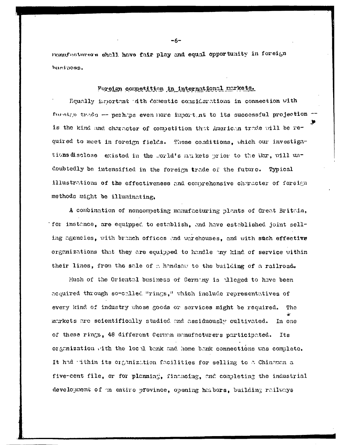namufacturers shall have fair play and equal opportunity in foreign hunipeas.

## Foreign competition in international markets.

F.qually iinortant with domestic considsrations in connection with furnian trees  $-$  perhaps even nore import nt to its successful projection  $$ is the kind and character of competition that American trade will be required to meet in foreign fields. These conditions, which our investigations disclose existed in the .orld's mukets prior to the War, will undoubtedly be intensified in the foreign trade of the future. Typical illustrations of the effectiveness and comprehensive character of foreign methods might be illuminating.

A combination of nonconpeting manufacturing plants of Great Britain, for instance), are equipped, to establish, and have established joint selling agencies, with branch offices and warehouses, and with such effective organizations that they are equipped to handle any kind of service within their lines, from the sale of a handsaw to the building of a railroad.

Much of the Oriental business of Germany is alleged to have been acquired through so-called "rings," which include representatives of every kind of industry whose goods or services might be required. The inarkets are scientifically studied and assiduously cultivated. In one of these rings, 48 different German manufacturers participated. Its or genization with the local bank and home bank connections was complete. It had -ithin its organization facilities for selling to a Chinanan a five-cent file, or for planning, financing, and completing the industrial development of an entire province, opening haibors, building railways

-6-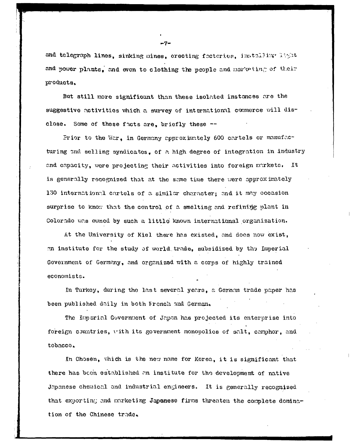and telegraph lines, sinking mines, erecting frotories, installing light and power plants, and even to clothing the people and marketing of their products.

But still more significant than these isolated instances are the suggestive activities which a survey of international commerce will disclose. Some of these facts are, briefly these  $-$ 

Prior to the War, in Germany approximately 600 cartels or manufacturing and selling syndicates, of a high degree of integration in industry and capacity, were projecting their activities into foreign markets. It is generally recognized that at the same time there were approx imately 130 international cartels of a similar character; and it may occasion surprise to know that the control of a smelting and refining plant in Colorado was owned by such a little known international organization.

At the University of Kiel there has existed, and does now exist, nn institute for the study of world trade, subsidized by the Imperial Government of Germany, and organized with a corps of highly trained economists.

In Turkey, during the last several year3, a German trade paper has been published daily in both Wrench and German.

The Imperial Government of Japan has projected its enterprise into foreign countries, vith its government monopolies of salt, canphor, and tobacco.

In Chosen, which is the new name for Korea, it is significant that there has been established an institute for the development of native Japanese chemical and industrial engineers. It is generally recognized that exporting and marketing Japanese firms threaten the complete domination of the Chinese trade.

- 7 -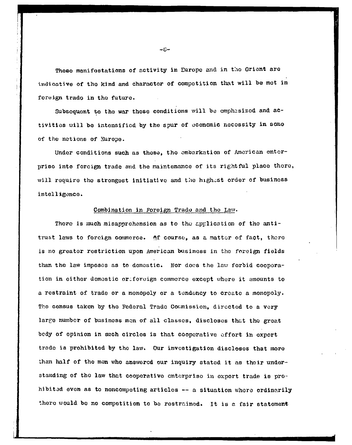These manifestations of activity in Europe and in the Orient are indicative of tho kind and charactor of competition that will be mot in foreign trado in the future.

Subsequent to the war these conditions will be emphasized and activities will bo intensified by tho spur of economic necessity in aomo of the notions of Surope.

Under conditions such as those, tho embarkation of American entcrpriso into foreign trade and the maintenance of its rightful place there, will require the strongest initiative and the highest order of business intelligence.

#### Combination in Foreign Trado and the Law.

There is much misapprehension as to the application of the antitrust laws to forcign commerce. Af course, as a matter of fact, there is no greater restriction upon American business in tho foreign fields than the law imposes as to domestic. Nor docs the law forbid cooporation in either domestic or. foreign commerce except where it amounts to a restraint of trade or a monopoly or a tendency to create a monopoly. The census taken by the Federal Trade Commission, directed to a very largo number of businoss men of all classes, discloses that tho great body of opinion in such circles is that cooperative effort in export trade is prohibited by tho law. Our investigation discloses that more than half of the men who answered our inquiry stated it as their understanding of the law that cooperative enterprise in export trade is prohibited even as to noncompeting articles — a situation whore ordinarily there would be no competition to be restrained. It is a fair statement

**i**

 $-E$ -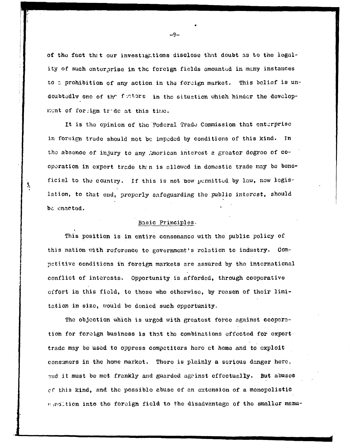of the fact that our investigations disclose that doubt as to the legality of such enterprise in the foreign fields amounted in many instances to a prohibition of any action in the foreign market. This belief is undoubtedly one of the fuctors in the situation which hinder the development of forign tr-de at this time.

It is the opinion of the Federal Trade Commission that enterprise in foraign trade should not be impeded by conditions of this kind. In tho absenoo of injury to any ,'jnoricon interest a groatcr degroo of cooperation in export trade then is allowed in domestic trade may be beneficial to the country. If this is not now permitted by law, new legislation, to that end, properly safeguarding the public interest, should be enacted.

## Basic Principles-

ţ,

This position is in entire consonance with the public policy of this nation oith reference to government's relation to industry. Competitive conditions in foreign markets are assured by the international conflict of interests. Opportunity is afforded, through cooperative effort in this field, to those who otherwise, by reason of their limitation in sizo, would be denied such opportunity.

The objection which is urged with greatest force against cooperation for foreign business is that tho combinations effected for export trade may be used to oppress competitors hero at homa and to exploit consumers in the home markot. There is plainly a serious danger here.,  $_{\text{3nd}}$  it must be met frankly and guarded against effectually. But abuses of this kind, and the possible abuse of an extension of a monopolistic into the foreign field to the disadvantage of the smaller manu-

-9-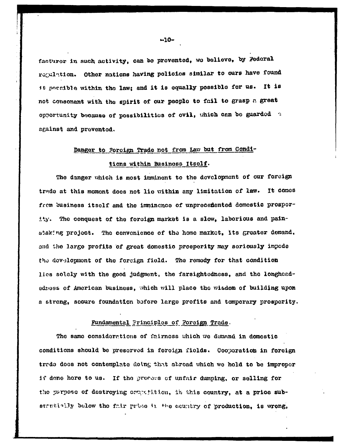facturer in such activity, can be provented, we believe, by Federal regulation. Other nations having policies similar to ours have found it possible within the law; and it is equally possible for us. It is not consonant with the spirit of our people to fail to grasp a great opportunity because of possibilities of ovil, which can be guarded a against and prevented.

# Danger to Forcign Trade not from Law but from Condi-

#### tions within Business Itself.

The danger which is most imminent to the development of our foreign trade at this moment does not lie within any limitation of law. It comes from business itself and the imminence of unprecemented domestic prospority. The conquest of the foreign market is a slow, laborious and painstaking project. The convenience of the home market, its greater demand. and the large profits of great domestic prosperity may seriously impede the development of the foreign field. The remedy for that condition lies solely with the good judgment, the farsightedness, and the longheededness of American business, which will place the wisdom of building upon a strong, socure foundation before large profits and tomporary prosperity.

## Fundamental Principles of Foreign Trade.

The same considerations of fairness which we demand in domestic conditions should be preserved in foreign fields. Cooperation in foreign trade does not contemplate doing that abroad which we hold to be improper if done hore to us. If the process of unfair dumping, or selling for the parpose of destroying competition, in this country, at a price substantially below the fair price in the country of production, is wrong,

 $-10-$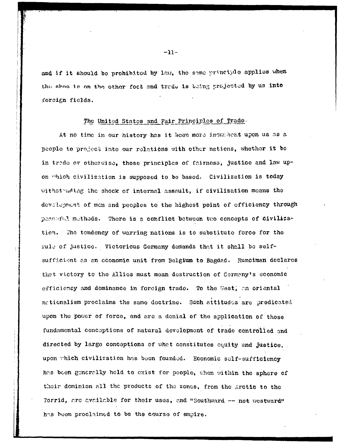and if it should be prohibited by law, the same principle applies when the show is on the other foct and trade is being projected by us into forcian fields.

#### The United States and Fair Principles of Trade.

At no time in our history has it been more incumbent upon us as a people to project into our relations with other nations, whether it be in trede or otherwise, those principles of fairness, justice and law upon which civilization is supposed to be based. Civilization is today withstruding the shock of internal assault, if civilization means the devalupment of men and peoples to the highest point of efficiency through peaceful methods. There is a conflict between two concepts of civilization. The tendency of warring nations is to substitute force for the rule of justice. Victorious Germany demands that it shall be selfsufficient as an economic unit from Belgium to Bagdad. Runciman declares that victory to the Allies must mean destruction of Germany's economic efficiency and dominance in forcign trade. To the West, an oriental nationalism proclaims the same doctrine. Such attitudes are predicated upon the power of force, and are a denial of the application of those fundamental conceptions of natural development of trade controlled and directed by large conceptions of what constitutes equity and justice, upon which civilization has been founded. Economic self-sufficiency has been generally held to exist for people, when within the sphere of their dominion all the products of the zones, from the Arctic to the Torrid, are available for their uses, and "Southward -- not westward" has been proclaimed to be the course of empire.

 $-11-$